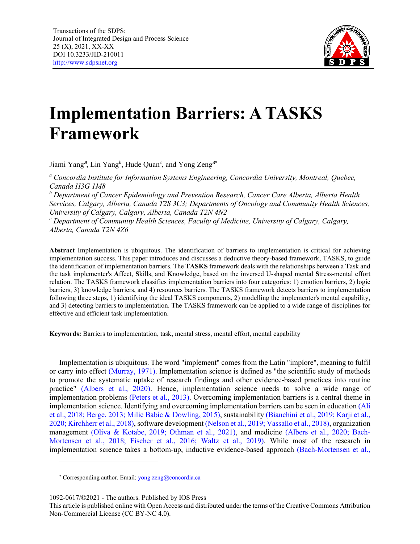

# **Implementation Barriers: A TASKS Framework**

Jiami Yang<sup>a</sup>, Lin Yang<sup>b</sup>, Hude Quan<sup>c</sup>, and Yong Zeng<sup>a[\\*](#page-0-0)</sup>

*<sup>a</sup> Concordia Institute for Information Systems Engineering, Concordia University, Montreal, Quebec, Canada H3G 1M8*

*<sup>b</sup> Department of Cancer Epidemiology and Prevention Research, Cancer Care Alberta, Alberta Health Services, Calgary, Alberta, Canada T2S 3C3; Departments of Oncology and Community Health Sciences, University of Calgary, Calgary, Alberta, Canada T2N 4N2*

*<sup>c</sup> Department of Community Health Sciences, Faculty of Medicine, University of Calgary, Calgary, Alberta, Canada T2N 4Z6*

**Abstract** Implementation is ubiquitous. The identification of barriers to implementation is critical for achieving implementation success. This paper introduces and discusses a deductive theory-based framework, TASKS, to guide the identification of implementation barriers. The **TASKS** framework deals with the relationships between a **T**ask and the task implementer's **A**ffect, **S**kills, and **K**nowledge, based on the inversed U-shaped mental **S**tress-mental effort relation. The TASKS framework classifies implementation barriers into four categories: 1) emotion barriers, 2) logic barriers, 3) knowledge barriers, and 4) resources barriers. The TASKS framework detects barriers to implementation following three steps, 1) identifying the ideal TASKS components, 2) modelling the implementer's mental capability, and 3) detecting barriers to implementation. The TASKS framework can be applied to a wide range of disciplines for effective and efficient task implementation.

**Keywords:** Barriers to implementation, task, mental stress, mental effort, mental capability

Implementation is ubiquitous. The word "implement" comes from the Latin "implore", meaning to fulfil or carry into effect [\(Murray, 1971\).](#page-11-0) Implementation science is defined as "the scientific study of methods to promote the systematic uptake of research findings and other evidence-based practices into routine practice" [\(Albers et al., 2020\).](#page-10-0) Hence, implementation science needs to solve a wide range of implementation problems [\(Peters et al., 2013\).](#page-12-0) Overcoming implementation barriers is a central theme in implementation science. Identifying and overcoming implementation barriers can be seen in educatio[n \(Ali](#page-10-1)  et al., 2018; Berge, 2013; Milic Babic & Dowling, 2015), sustainability [\(Bianchini et al., 2019; Karji et al.,](#page-10-2)  2020; Kirchherr et al., 2018), software developmen[t \(Nelson et al., 2019; Vassallo](#page-11-1) et al., 2018), organization management [\(Oliva & Kotabe, 2019; Othman et al., 2021\),](#page-11-2) and medicine [\(Albers et al., 2020; Bach-](#page-10-3)Mortensen et al., 2018; Fischer et al., 2016; Waltz et al., 2019). While most of the research in implementation science takes a bottom-up, inductive evidence-based approach [\(Bach-Mortensen et al.,](#page-10-3) 

<span id="page-0-0"></span>1092-0617/©2021 - The authors. Published by IOS Press

This article is published online with Open Access and distributed under the terms of the Creative Commons Attribution Non-Commercial License (CC BY-NC 4.0).

<sup>\*</sup> Corresponding author. Email: yong.zeng@concordia.ca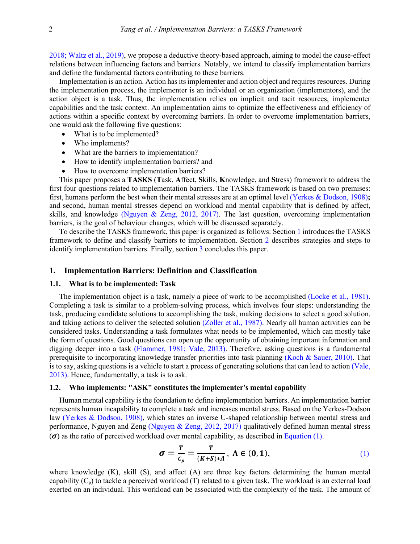2018; Waltz et al., 2019), we propose a deductive theory-based approach, aiming to model the cause-effect relations between influencing factors and barriers. Notably, we intend to classify implementation barriers and define the fundamental factors contributing to these barriers.

Implementation is an action. Action has its implementer and action object and requires resources. During the implementation process, the implementer is an individual or an organization (implementors), and the action object is a task. Thus, the implementation relies on implicit and tacit resources, implementer capabilities and the task context. An implementation aims to optimize the effectiveness and efficiency of actions within a specific context by overcoming barriers. In order to overcome implementation barriers, one would ask the following five questions:

- What is to be implemented?
- Who implements?
- What are the barriers to implementation?
- How to identify implementation barriers? and
- How to overcome implementation barriers?

This paper proposes a **TASKS** (**T**ask, **A**ffect, **S**kills, **K**nowledge, and **S**tress) framework to address the first four questions related to implementation barriers. The TASKS framework is based on two premises: first, humans perform the best when their mental stresses are at an optimal level [\(Yerkes & Dodson, 1908\)](#page-12-1)**;** and second, human mental stresses depend on workload and mental capability that is defined by affect, skills, and knowledge [\(Nguyen & Zeng, 2012, 2017\).](#page-11-3) The last question, overcoming implementation barriers, is the goal of behaviour changes, which will be discussed separately.

To describe the TASKS framework, this paper is organized as follows: Section [1](#page-1-0) introduces the TASKS framework to define and classify barriers to implementation. Section [2](#page-5-0) describes strategies and steps to identify implementation barriers. Finally, section [3](#page-10-4) concludes this paper.

# <span id="page-1-0"></span>**1. Implementation Barriers: Definition and Classification**

## <span id="page-1-2"></span>**1.1. What is to be implemented: Task**

The implementation object is a task, namely a piece of work to be accomplished [\(Locke et al., 1981\).](#page-11-4) Completing a task is similar to a problem-solving process, which involves four steps: understanding the task, producing candidate solutions to accomplishing the task, making decisions to select a good solution, and taking actions to deliver the selected solution [\(Zoller et al., 1987\).](#page-12-2) Nearly all human activities can be considered tasks. Understanding a task formulates what needs to be implemented, which can mostly take the form of questions. Good questions can open up the opportunity of obtaining important information and digging deeper into a task [\(Flammer, 1981; Vale, 2013\).](#page-11-5) Therefore, asking questions is a fundamental prerequisite to incorporating knowledge transfer priorities into task planning [\(Koch & Sauer, 2010\).](#page-11-6) That is to say, asking questions is a vehicle to start a process of generating solutions that can lead to action [\(Vale,](#page-12-3)  2013). Hence, fundamentally, a task is to ask.

# **1.2. Who implements: "ASK" constitutes the implementer's mental capability**

Human mental capability is the foundation to define implementation barriers. An implementation barrier represents human incapability to complete a task and increases mental stress. Based on the Yerkes-Dodson law [\(Yerkes & Dodson, 1908\),](#page-12-1) which states an inverse U-shaped relationship between mental stress and performance, Nguyen and Zeng [\(Nguyen & Zeng, 2012, 2017\)](#page-11-3) qualitatively defined human mental stress  $(\sigma)$  as the ratio of perceived workload over mental capability, as described in Equation [\(1\)](#page-1-1).

$$
\boldsymbol{\sigma} = \frac{T}{c_p} = \frac{T}{(K+S)*A}, \ \mathbf{A} \in (0,1), \tag{1}
$$

<span id="page-1-1"></span>where knowledge (K), skill (S), and affect (A) are three key factors determining the human mental capability  $(C_p)$  to tackle a perceived workload (T) related to a given task. The workload is an external load exerted on an individual. This workload can be associated with the complexity of the task. The amount of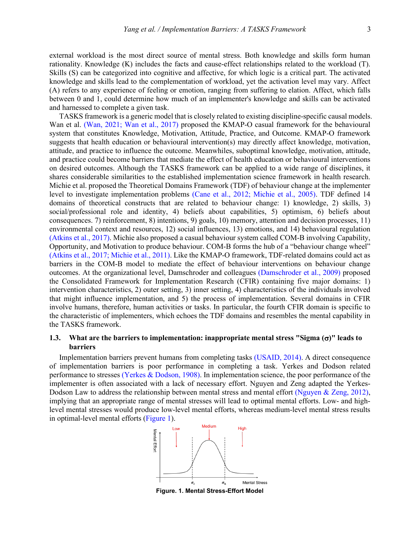external workload is the most direct source of mental stress. Both knowledge and skills form human rationality. Knowledge (K) includes the facts and cause-effect relationships related to the workload (T). Skills (S) can be categorized into cognitive and affective, for which logic is a critical part. The activated knowledge and skills lead to the complementation of workload, yet the activation level may vary. Affect (A) refers to any experience of feeling or emotion, ranging from suffering to elation. Affect, which falls between 0 and 1, could determine how much of an implementer's knowledge and skills can be activated and harnessed to complete a given task.

TASKS framework is a generic model that is closely related to existing discipline-specific causal models. Wan et al. [\(Wan, 2021; Wan et al., 2017\)](#page-12-4) proposed the KMAP-O casual framework for the behavioural system that constitutes Knowledge, Motivation, Attitude, Practice, and Outcome. KMAP-O framework suggests that health education or behavioural intervention(s) may directly affect knowledge, motivation, attitude, and practice to influence the outcome. Meanwhiles, suboptimal knowledge, motivation, attitude, and practice could become barriers that mediate the effect of health education or behavioural interventions on desired outcomes. Although the TASKS framework can be applied to a wide range of disciplines, it shares considerable similarities to the established implementation science framework in health research. Michie et al. proposed the Theoretical Domains Framework (TDF) of behaviour change at the implementer level to investigate implementation problems [\(Cane et al., 2012; Michie et al., 2005\).](#page-10-5) TDF defined 14 domains of theoretical constructs that are related to behaviour change: 1) knowledge, 2) skills, 3) social/professional role and identity, 4) beliefs about capabilities, 5) optimism, 6) beliefs about consequences. 7) reinforcement, 8) intentions, 9) goals, 10) memory, attention and decision processes, 11) environmental context and resources, 12) social influences, 13) emotions, and 14) behavioural regulation [\(Atkins et al., 2017\).](#page-10-6) Michie also proposed a casual behaviour system called COM-B involving Capability, Opportunity, and Motivation to produce behaviour. COM-B forms the hub of a "behaviour change wheel" [\(Atkins et al., 2017; Michie et](#page-10-6) al., 2011). Like the KMAP-O framework, TDF-related domains could act as barriers in the COM-B model to mediate the effect of behaviour interventions on behaviour change outcomes. At the organizational level, Damschroder and colleagues [\(Damschroder et al., 2009\)](#page-11-7) proposed the Consolidated Framework for Implementation Research (CFIR) containing five major domains: 1) intervention characteristics, 2) outer setting, 3) inner setting, 4) characteristics of the individuals involved that might influence implementation, and 5) the process of implementation. Several domains in CFIR involve humans, therefore, human activities or tasks. In particular, the fourth CFIR domain is specific to the characteristic of implementers, which echoes the TDF domains and resembles the mental capability in the TASKS framework.

# **1.3. What are the barriers to implementation: inappropriate mental stress "Sigma (**σ**)" leads to barriers**

Implementation barriers prevent humans from completing tasks [\(USAID, 2014\).](#page-12-5) A direct consequence of implementation barriers is poor performance in completing a task. Yerkes and Dodson related performance to stresse[s \(Yerkes & Dodson, 1908\).](#page-12-1) In implementation science, the poor performance of the implementer is often associated with a lack of necessary effort. Nguyen and Zeng adapted the Yerkes-Dodson Law to address the relationship between mental stress and mental effort [\(Nguyen & Zeng, 2012\),](#page-11-3) implying that an appropriate range of mental stresses will lead to optimal mental efforts. Low- and highlevel mental stresses would produce low-level mental efforts, whereas medium-level mental stress results in optimal-level mental efforts (Figure 1).



**Figure. 1. Mental Stress-Effort Model**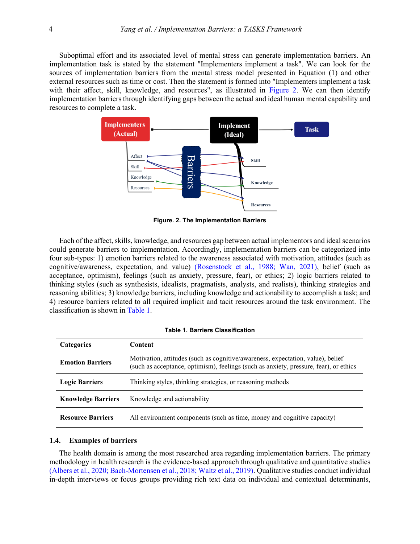Suboptimal effort and its associated level of mental stress can generate implementation barriers. An implementation task is stated by the statement "Implementers implement a task". We can look for the sources of implementation barriers from the mental stress model presented in Equation (1) and other external resources such as time or cost. Then the statement is formed into "Implementers implement a task with their affect, skill, knowledge, and resources", as illustrated in [Figure 2.](#page-3-0) We can then identify implementation barriers through identifying gaps between the actual and ideal human mental capability and resources to complete a task.



**Figure. 2. The Implementation Barriers**

<span id="page-3-0"></span>Each of the affect, skills, knowledge, and resources gap between actual implementors and ideal scenarios could generate barriers to implementation. Accordingly, implementation barriers can be categorized into four sub-types: 1) emotion barriers related to the awareness associated with motivation, attitudes (such as cognitive/awareness, expectation, and value) [\(Rosenstock et al., 1988; Wan, 2021\),](#page-12-6) belief (such as acceptance, optimism), feelings (such as anxiety, pressure, fear), or ethics; 2) logic barriers related to thinking styles (such as synthesists, idealists, pragmatists, analysts, and realists), thinking strategies and reasoning abilities; 3) knowledge barriers, including knowledge and actionability to accomplish a task; and 4) resource barriers related to all required implicit and tacit resources around the task environment. The classification is shown in [Table 1.](#page-3-1)

#### **Table 1. Barriers Classification**

<span id="page-3-1"></span>

| <b>Categories</b>         | <b>Content</b>                                                                                                                                                           |
|---------------------------|--------------------------------------------------------------------------------------------------------------------------------------------------------------------------|
| <b>Emotion Barriers</b>   | Motivation, attitudes (such as cognitive/awareness, expectation, value), belief<br>(such as acceptance, optimism), feelings (such as anxiety, pressure, fear), or ethics |
| <b>Logic Barriers</b>     | Thinking styles, thinking strategies, or reasoning methods                                                                                                               |
| <b>Knowledge Barriers</b> | Knowledge and actionability                                                                                                                                              |
| <b>Resource Barriers</b>  | All environment components (such as time, money and cognitive capacity)                                                                                                  |

### **1.4. Examples of barriers**

The health domain is among the most researched area regarding implementation barriers. The primary methodology in health research is the evidence-based approach through qualitative and quantitative studies [\(Albers et al., 2020; Bach-Mortensen et al., 2018; Waltz et al., 2019\).](#page-10-0) Qualitative studies conduct individual in-depth interviews or focus groups providing rich text data on individual and contextual determinants,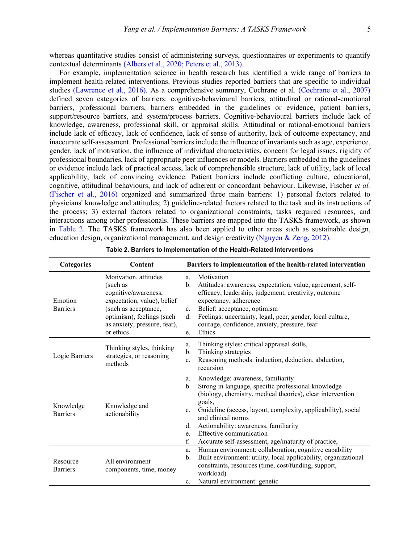whereas quantitative studies consist of administering surveys, questionnaires or experiments to quantify contextual determinants [\(Albers et al., 2020; Peters et al., 2013\).](#page-10-0)

For example, implementation science in health research has identified a wide range of barriers to implement health-related interventions. Previous studies reported barriers that are specific to individual studies [\(Lawrence et al., 2016\).](#page-11-8) As a comprehensive summary, Cochrane et al. [\(Cochrane et al., 2007\)](#page-10-7) defined seven categories of barriers: cognitive-behavioural barriers, attitudinal or rational-emotional barriers, professional barriers, barriers embedded in the guidelines or evidence, patient barriers, support/resource barriers, and system/process barriers. Cognitive-behavioural barriers include lack of knowledge, awareness, professional skill, or appraisal skills. Attitudinal or rational-emotional barriers include lack of efficacy, lack of confidence, lack of sense of authority, lack of outcome expectancy, and inaccurate self-assessment. Professional barriers include the influence of invariants such as age, experience, gender, lack of motivation, the influence of individual characteristics, concern for legal issues, rigidity of professional boundaries, lack of appropriate peer influences or models. Barriers embedded in the guidelines or evidence include lack of practical access, lack of comprehensible structure, lack of utility, lack of local applicability, lack of convincing evidence. Patient barriers include conflicting culture, educational, cognitive, attitudinal behaviours, and lack of adherent or concordant behaviour. Likewise, Fischer *et al.* [\(Fischer et al., 2016\)](#page-11-9) organized and summarized three main barriers: 1) personal factors related to physicians' knowledge and attitudes; 2) guideline-related factors related to the task and its instructions of the process; 3) external factors related to organizational constraints, tasks required resources, and interactions among other professionals. These barriers are mapped into the TASKS framework, as shown in [Table 2.](#page-4-0) The TASKS framework has also been applied to other areas such as sustainable design, education design, organizational management, and design creativity [\(Nguyen & Zeng, 2012\).](#page-11-3)

<span id="page-4-0"></span>

| <b>Categories</b>            | Content                                                                                                                                                                                    | Barriers to implementation of the health-related intervention |                                                                                                                                                                                                                                                                                                                                                                                    |  |
|------------------------------|--------------------------------------------------------------------------------------------------------------------------------------------------------------------------------------------|---------------------------------------------------------------|------------------------------------------------------------------------------------------------------------------------------------------------------------------------------------------------------------------------------------------------------------------------------------------------------------------------------------------------------------------------------------|--|
| Emotion<br><b>Barriers</b>   | Motivation, attitudes<br>(such as<br>cognitive/awareness,<br>expectation, value), belief<br>(such as acceptance,<br>optimism), feelings (such<br>as anxiety, pressure, fear),<br>or ethics | a.<br>b.<br>$\mathbf{c}$ .<br>d.<br>e.                        | Motivation<br>Attitudes: awareness, expectation, value, agreement, self-<br>efficacy, leadership, judgement, creativity, outcome<br>expectancy, adherence<br>Belief: acceptance, optimism<br>Feelings: uncertainty, legal, peer, gender, local culture,<br>courage, confidence, anxiety, pressure, fear<br>Ethics                                                                  |  |
| Logic Barriers               | Thinking styles, thinking<br>strategies, or reasoning<br>methods                                                                                                                           | a.<br>b.<br>c.                                                | Thinking styles: critical appraisal skills,<br>Thinking strategies<br>Reasoning methods: induction, deduction, abduction,<br>recursion                                                                                                                                                                                                                                             |  |
| Knowledge<br><b>Barriers</b> | Knowledge and<br>actionability                                                                                                                                                             | a.<br>b.<br>c.<br>d.<br>e.<br>f.                              | Knowledge: awareness, familiarity<br>Strong in language, specific professional knowledge<br>(biology, chemistry, medical theories), clear intervention<br>goals,<br>Guideline (access, layout, complexity, applicability), social<br>and clinical norms<br>Actionability: awareness, familiarity<br>Effective communication<br>Accurate self-assessment, age/maturity of practice, |  |
| Resource<br><b>Barriers</b>  | All environment<br>components, time, money                                                                                                                                                 | a.<br>b.<br>c.                                                | Human environment: collaboration, cognitive capability<br>Built environment: utility, local applicability, organizational<br>constraints, resources (time, cost/funding, support,<br>workload)<br>Natural environment: genetic                                                                                                                                                     |  |

|  | Table 2. Barriers to Implementation of the Health-Related Interventions |  |  |  |
|--|-------------------------------------------------------------------------|--|--|--|
|  |                                                                         |  |  |  |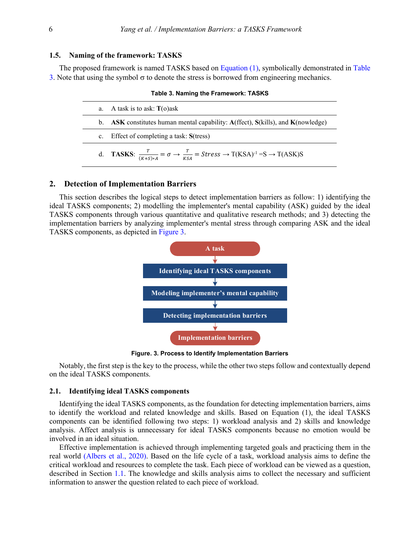# **1.5. Naming of the framework: TASKS**

<span id="page-5-1"></span>The proposed framework is named TASKS based on Equation [\(1\)](#page-1-1), symbolically demonstrated in [Table](#page-5-1)  [3.](#page-5-1) Note that using the symbol  $\sigma$  to denote the stress is borrowed from engineering mechanics.

| a. A task is to ask: $T(o)$ ask                                                                                                   |
|-----------------------------------------------------------------------------------------------------------------------------------|
| b. ASK constitutes human mental capability: A(ffect), S(kills), and K(nowledge)                                                   |
| c. Effect of completing a task: S(tress)                                                                                          |
| d. <b>TASKS</b> : $\frac{T}{(K+S)*A} = \sigma \rightarrow \frac{T}{KSA} = Stress \rightarrow T(KSA)^{-1} = S \rightarrow T(ASK)S$ |

**Table 3. Naming the Framework: TASKS**

# <span id="page-5-0"></span>**2. Detection of Implementation Barriers**

This section describes the logical steps to detect implementation barriers as follow: 1) identifying the ideal TASKS components; 2) modelling the implementer's mental capability (ASK) guided by the ideal TASKS components through various quantitative and qualitative research methods; and 3) detecting the implementation barriers by analyzing implementer's mental stress through comparing ASK and the ideal TASKS components, as depicted in [Figure 3.](#page-5-2)



**Figure. 3. Process to Identify Implementation Barriers**

<span id="page-5-2"></span>Notably, the first step is the key to the process, while the other two steps follow and contextually depend on the ideal TASKS components.

### **2.1. Identifying ideal TASKS components**

Identifying the ideal TASKS components, as the foundation for detecting implementation barriers, aims to identify the workload and related knowledge and skills. Based on Equation (1), the ideal TASKS components can be identified following two steps: 1) workload analysis and 2) skills and knowledge analysis. Affect analysis is unnecessary for ideal TASKS components because no emotion would be involved in an ideal situation.

Effective implementation is achieved through implementing targeted goals and practicing them in the real world [\(Albers et al., 2020\).](#page-10-0) Based on the life cycle of a task, workload analysis aims to define the critical workload and resources to complete the task. Each piece of workload can be viewed as a question, described in Section [1.1.](#page-1-2) The knowledge and skills analysis aims to collect the necessary and sufficient information to answer the question related to each piece of workload.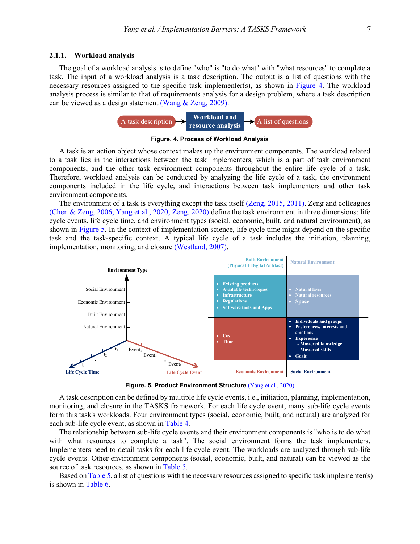#### **2.1.1. Workload analysis**

The goal of a workload analysis is to define "who" is "to do what" with "what resources" to complete a task. The input of a workload analysis is a task description. The output is a list of questions with the necessary resources assigned to the specific task implementer(s), as shown in [Figure 4.](#page-6-0) The workload analysis process is similar to that of requirements analysis for a design problem, where a task description can be viewed as a design statement [\(Wang & Zeng, 2009\).](#page-12-7)



**Figure. 4. Process of Workload Analysis**

<span id="page-6-0"></span>A task is an action object whose context makes up the environment components. The workload related to a task lies in the interactions between the task implementers, which is a part of task environment components, and the other task environment components throughout the entire life cycle of a task. Therefore, workload analysis can be conducted by analyzing the life cycle of a task, the environment components included in the life cycle, and interactions between task implementers and other task environment components.

The environment of a task is everything except the task itself [\(Zeng, 2015, 2011\).](#page-12-8) Zeng and colleagues [\(Chen & Zeng, 2006; Yang et al., 2020; Zeng, 2020\)](#page-10-8) define the task environment in three dimensions: life cycle events, life cycle time, and environment types (social, economic, built, and natural environment), as shown in [Figure 5.](#page-6-1) In the context of implementation science, life cycle time might depend on the specific task and the task-specific context. A typical life cycle of a task includes the initiation, planning, implementation, monitoring, and closure [\(Westland, 2007\).](#page-12-9)



**Figure. 5. Product Environment Structure** [\(Yang et al., 2020\)](#page-12-10)

<span id="page-6-1"></span>A task description can be defined by multiple life cycle events, i.e., initiation, planning, implementation, monitoring, and closure in the TASKS framework. For each life cycle event, many sub-life cycle events form this task's workloads. Four environment types (social, economic, built, and natural) are analyzed for each sub-life cycle event, as shown in [Table 4.](#page-7-0)

The relationship between sub-life cycle events and their environment components is "who is to do what with what resources to complete a task". The social environment forms the task implementers. Implementers need to detail tasks for each life cycle event. The workloads are analyzed through sub-life cycle events. Other environment components (social, economic, built, and natural) can be viewed as the source of task resources, as shown in [Table 5.](#page-7-1)

Based o[n Table 5,](#page-7-1) a list of questions with the necessary resources assigned to specific task implementer(s) is shown in [Table 6.](#page-7-2)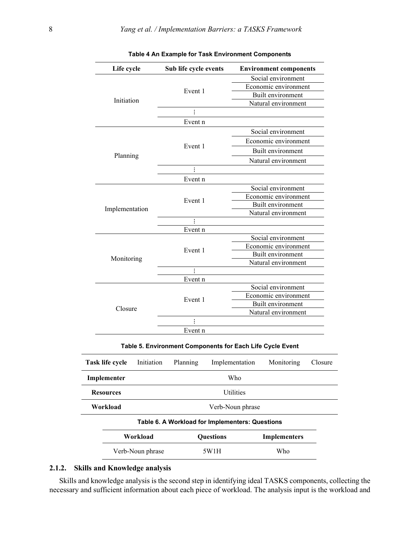<span id="page-7-0"></span>

| Life cycle     | Sub life cycle events | <b>Environment components</b> |
|----------------|-----------------------|-------------------------------|
|                |                       | Social environment            |
|                | Event 1               | Economic environment          |
|                |                       | Built environment             |
| Initiation     |                       | Natural environment           |
|                | $\ddot{\cdot}$        |                               |
|                | Event n               |                               |
|                |                       | Social environment            |
|                | Event 1               | Economic environment          |
| Planning       |                       | Built environment             |
|                |                       | Natural environment           |
|                | $\vdots$              |                               |
|                | Event n               |                               |
|                |                       | Social environment            |
|                | Event 1               | Economic environment          |
|                |                       | Built environment             |
| Implementation |                       | Natural environment           |
|                | $\colon$              |                               |
|                | Event n               |                               |
|                |                       | Social environment            |
|                | Event 1               | Economic environment          |
| Monitoring     |                       | Built environment             |
|                |                       | Natural environment           |
|                | ÷                     |                               |
|                | Event n               |                               |
|                |                       | Social environment            |
|                | Event 1               | Economic environment          |
| Closure        |                       | Built environment             |
|                |                       | Natural environment           |
|                |                       |                               |
|                | Event n               |                               |

| Table 4 An Example for Task Environment Components |  |  |
|----------------------------------------------------|--|--|
|----------------------------------------------------|--|--|

<span id="page-7-1"></span>

| Task life cycle  | Initiation       | Planning | Implementation                                  | Monitoring   | Closure |
|------------------|------------------|----------|-------------------------------------------------|--------------|---------|
| Implementer      |                  |          | Who                                             |              |         |
| <b>Resources</b> |                  |          | <b>Utilities</b>                                |              |         |
| Workload         |                  |          | Verb-Noun phrase                                |              |         |
|                  |                  |          | Table 6. A Workload for Implementers: Questions |              |         |
|                  | Workload         |          | <b>Ouestions</b>                                | Implementers |         |
|                  | Verb-Noun phrase |          | 5W1H                                            | Who          |         |

# <span id="page-7-2"></span>**2.1.2. Skills and Knowledge analysis**

Skills and knowledge analysis is the second step in identifying ideal TASKS components, collecting the necessary and sufficient information about each piece of workload. The analysis input is the workload and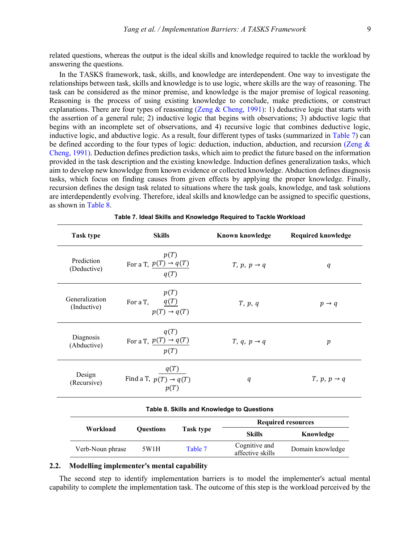related questions, whereas the output is the ideal skills and knowledge required to tackle the workload by answering the questions.

In the TASKS framework, task, skills, and knowledge are interdependent. One way to investigate the relationships between task, skills and knowledge is to use logic, where skills are the way of reasoning. The task can be considered as the minor premise, and knowledge is the major premise of logical reasoning. Reasoning is the process of using existing knowledge to conclude, make predictions, or construct explanations. There are four types of reasoning [\(Zeng & Cheng, 1991\):](#page-12-11) 1) deductive logic that starts with the assertion of a general rule; 2) inductive logic that begins with observations; 3) abductive logic that begins with an incomplete set of observations, and 4) recursive logic that combines deductive logic, inductive logic, and abductive logic. As a result, four different types of tasks (summarized in [Table 7\)](#page-8-0) can be defined according to the four types of logic: deduction, induction, abduction, and recursion (Zeng & Cheng, 1991). Deduction defines prediction tasks, which aim to predict the future based on the information provided in the task description and the existing knowledge. Induction defines generalization tasks, which aim to develop new knowledge from known evidence or collected knowledge. Abduction defines diagnosis tasks, which focus on finding causes from given effects by applying the proper knowledge. Finally, recursion defines the design task related to situations where the task goals, knowledge, and task solutions are interdependently evolving. Therefore, ideal skills and knowledge can be assigned to specific questions, as shown i[n Table 8.](#page-8-1)

<span id="page-8-0"></span>

| <b>Task type</b>                           | <b>Skills</b>                                      |         | <b>Known knowledge</b>             | <b>Required knowledge</b>          |  |
|--------------------------------------------|----------------------------------------------------|---------|------------------------------------|------------------------------------|--|
| Prediction<br>(Deductive)                  | p(T)<br>For a T, $p(T) \rightarrow q(T)$<br>q(T)   |         | <i>T</i> , $p$ , $p \rightarrow q$ | q                                  |  |
| Generalization<br>(Inductive)              | p(T)<br>For a T, $q(T)$<br>$p(T) \rightarrow q(T)$ |         | T, p, q                            | $p \rightarrow q$                  |  |
| Diagnosis<br>(Abductive)                   | q(T)<br>For a T, $p(T) \rightarrow q(T)$<br>p(T)   |         | T, q, $p \rightarrow q$            | $\boldsymbol{p}$                   |  |
| Design<br>(Recursive)                      | q(T)<br>Find a T, $p(T) \rightarrow q(T)$<br>p(T)  |         | q                                  | <i>T</i> , $p$ , $p \rightarrow q$ |  |
| Table 8. Skills and Knowledge to Questions |                                                    |         |                                    |                                    |  |
|                                            |                                                    |         |                                    | <b>Required resources</b>          |  |
| Workload                                   | <b>Questions</b><br>Task type                      |         | <b>Skills</b>                      | Knowledge                          |  |
| Verb-Noun phrase                           | 5W1H                                               | Table 7 | Cognitive and<br>affective skills  | Domain knowledge                   |  |

# <span id="page-8-1"></span>**2.2. Modelling implementer's mental capability**

The second step to identify implementation barriers is to model the implementer's actual mental capability to complete the implementation task. The outcome of this step is the workload perceived by the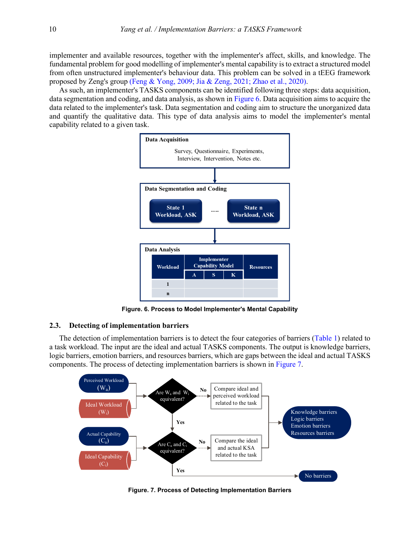implementer and available resources, together with the implementer's affect, skills, and knowledge. The fundamental problem for good modelling of implementer's mental capability is to extract a structured model from often unstructured implementer's behaviour data. This problem can be solved in a tEEG framework proposed by Zeng's group [\(Feng & Yong, 2009; Jia & Zeng, 2021; Zhao et al., 2020\).](#page-11-10)

As such, an implementer's TASKS components can be identified following three steps: data acquisition, data segmentation and coding, and data analysis, as shown in [Figure 6.](#page-9-0) Data acquisition aims to acquire the data related to the implementer's task. Data segmentation and coding aim to structure the unorganized data and quantify the qualitative data. This type of data analysis aims to model the implementer's mental capability related to a given task.



**Figure. 6. Process to Model Implementer's Mental Capability**

# <span id="page-9-0"></span>**2.3. Detecting of implementation barriers**

The detection of implementation barriers is to detect the four categories of barriers [\(Table 1\)](#page-3-1) related to a task workload. The input are the ideal and actual TASKS components. The output is knowledge barriers, logic barriers, emotion barriers, and resources barriers, which are gaps between the ideal and actual TASKS components. The process of detecting implementation barriers is shown in [Figure 7.](#page-9-1)



<span id="page-9-1"></span>**Figure. 7. Process of Detecting Implementation Barriers**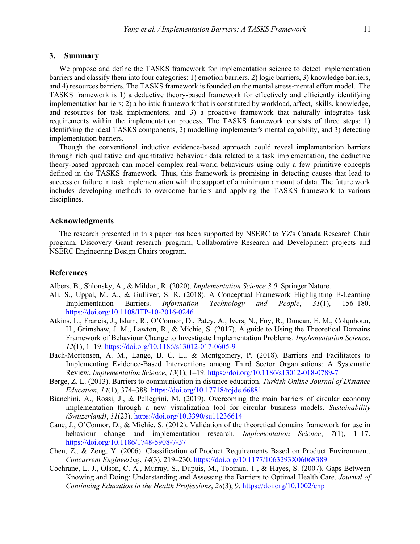# <span id="page-10-4"></span>**3. Summary**

We propose and define the TASKS framework for implementation science to detect implementation barriers and classify them into four categories: 1) emotion barriers, 2) logic barriers, 3) knowledge barriers, and 4) resources barriers. The TASKS framework is founded on the mental stress-mental effort model. The TASKS framework is 1) a deductive theory-based framework for effectively and efficiently identifying implementation barriers; 2) a holistic framework that is constituted by workload, affect, skills, knowledge, and resources for task implementers; and 3) a proactive framework that naturally integrates task requirements within the implementation process. The TASKS framework consists of three steps: 1) identifying the ideal TASKS components, 2) modelling implementer's mental capability, and 3) detecting implementation barriers.

Though the conventional inductive evidence-based approach could reveal implementation barriers through rich qualitative and quantitative behaviour data related to a task implementation, the deductive theory-based approach can model complex real-world behaviours using only a few primitive concepts defined in the TASKS framework. Thus, this framework is promising in detecting causes that lead to success or failure in task implementation with the support of a minimum amount of data. The future work includes developing methods to overcome barriers and applying the TASKS framework to various disciplines.

# **Acknowledgments**

The research presented in this paper has been supported by NSERC to YZ's Canada Research Chair program, Discovery Grant research program, Collaborative Research and Development projects and NSERC Engineering Design Chairs program.

# **References**

<span id="page-10-0"></span>Albers, B., Shlonsky, A., & Mildon, R. (2020). *Implementation Science 3.0*. Springer Nature.

- <span id="page-10-1"></span>Ali, S., Uppal, M. A., & Gulliver, S. R. (2018). A Conceptual Framework Highlighting E-Learning Implementation Barriers. *Information Technology and People*, *31*(1), 156–180. https://doi.org/10.1108/ITP-10-2016-0246
- <span id="page-10-6"></span>Atkins, L., Francis, J., Islam, R., O'Connor, D., Patey, A., Ivers, N., Foy, R., Duncan, E. M., Colquhoun, H., Grimshaw, J. M., Lawton, R., & Michie, S. (2017). A guide to Using the Theoretical Domains Framework of Behaviour Change to Investigate Implementation Problems. *Implementation Science*, *12*(1), 1–19. https://doi.org/10.1186/s13012-017-0605-9
- <span id="page-10-3"></span>Bach-Mortensen, A. M., Lange, B. C. L., & Montgomery, P. (2018). Barriers and Facilitators to Implementing Evidence-Based Interventions among Third Sector Organisations: A Systematic Review. *Implementation Science*, *13*(1), 1–19. https://doi.org/10.1186/s13012-018-0789-7
- Berge, Z. L. (2013). Barriers to communication in distance education. *Turkish Online Journal of Distance Education*, *14*(1), 374–388. https://doi.org/10.17718/tojde.66881
- <span id="page-10-2"></span>Bianchini, A., Rossi, J., & Pellegrini, M. (2019). Overcoming the main barriers of circular economy implementation through a new visualization tool for circular business models. *Sustainability (Switzerland)*, *11*(23). https://doi.org/10.3390/su11236614
- <span id="page-10-5"></span>Cane, J., O'Connor, D., & Michie, S. (2012). Validation of the theoretical domains framework for use in behaviour change and implementation research. *Implementation Science*, *7*(1), 1–17. https://doi.org/10.1186/1748-5908-7-37
- <span id="page-10-8"></span>Chen, Z., & Zeng, Y. (2006). Classification of Product Requirements Based on Product Environment. *Concurrent Engineering*, *14*(3), 219–230. https://doi.org/10.1177/1063293X06068389
- <span id="page-10-7"></span>Cochrane, L. J., Olson, C. A., Murray, S., Dupuis, M., Tooman, T., & Hayes, S. (2007). Gaps Between Knowing and Doing: Understanding and Assessing the Barriers to Optimal Health Care. *Journal of Continuing Education in the Health Professions*, *28*(3), 9. https://doi.org/10.1002/chp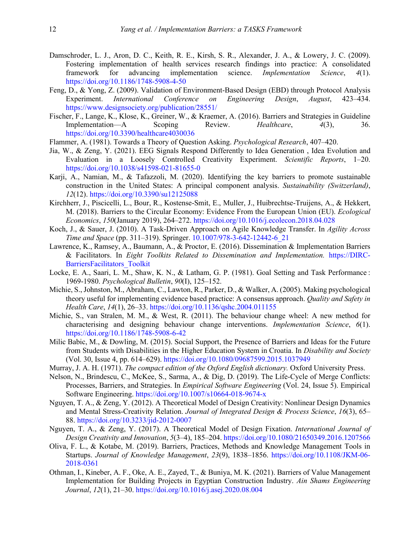- <span id="page-11-7"></span>Damschroder, L. J., Aron, D. C., Keith, R. E., Kirsh, S. R., Alexander, J. A., & Lowery, J. C. (2009). Fostering implementation of health services research findings into practice: A consolidated framework for advancing implementation science. *Implementation Science*, *4*(1). https://doi.org/10.1186/1748-5908-4-50
- Feng, D., & Yong, Z. (2009). Validation of Environment-Based Design (EBD) through Protocol Analysis<br>Experiment. International Conference on Engineering Design, August, 423–434. Experiment. *International Conference on Engineering Design*, *August*, 423–434. https://www.designsociety.org/publication/28551/
- <span id="page-11-9"></span>Fischer, F., Lange, K., Klose, K., Greiner, W., & Kraemer, A. (2016). Barriers and Strategies in Guideline Implementation—A Scoping Review. *Healthcare*, *4*(3), 36. https://doi.org/10.3390/healthcare4030036
- <span id="page-11-5"></span>Flammer, A. (1981). Towards a Theory of Question Asking. *Psychological Research*, 407–420.
- <span id="page-11-10"></span>Jia, W., & Zeng, Y. (2021). EEG Signals Respond Differently to Idea Generation , Idea Evolution and Evaluation in a Loosely Controlled Creativity Experiment. *Scientific Reports*, 1–20. https://doi.org/10.1038/s41598-021-81655-0
- Karji, A., Namian, M., & Tafazzoli, M. (2020). Identifying the key barriers to promote sustainable construction in the United States: A principal component analysis. *Sustainability (Switzerland)*, *12*(12). https://doi.org/10.3390/su12125088
- Kirchherr, J., Piscicelli, L., Bour, R., Kostense-Smit, E., Muller, J., Huibrechtse-Truijens, A., & Hekkert, M. (2018). Barriers to the Circular Economy: Evidence From the European Union (EU). *Ecological Economics*, *150*(January 2019), 264–272. https://doi.org/10.1016/j.ecolecon.2018.04.028
- <span id="page-11-6"></span>Koch, J., & Sauer, J. (2010). A Task-Driven Approach on Agile Knowledge Transfer. In *Agility Across Time and Space* (pp. 311–319). Springer. 10.1007/978-3-642-12442-6\_21
- <span id="page-11-8"></span>Lawrence, K., Ramsey, A., Baumann, A., & Proctor, E. (2016). Dissemination & Implementation Barriers & Facilitators. In *Eight Toolkits Related to Dissemination and Implementation.* [https://DIRC-](https://cpb-us-w2.wpmucdn.com/sites.wustl.edu/dist/6/786/files/2017/08/DIRC-BarriersFacilitators_Toolkit-1gc9m0a.pdf)[BarriersFacilitators\\_Toolkit](https://cpb-us-w2.wpmucdn.com/sites.wustl.edu/dist/6/786/files/2017/08/DIRC-BarriersFacilitators_Toolkit-1gc9m0a.pdf)
- <span id="page-11-4"></span>Locke, E. A., Saari, L. M., Shaw, K. N., & Latham, G. P. (1981). Goal Setting and Task Performance : 1969-1980. *Psychological Bulletin*, *90*(I), 125–152.
- Michie, S., Johnston, M., Abraham, C., Lawton, R., Parker, D., & Walker, A. (2005). Making psychological theory useful for implementing evidence based practice: A consensus approach. *Quality and Safety in Health Care*, *14*(1), 26–33. https://doi.org/10.1136/qshc.2004.011155
- Michie, S., van Stralen, M. M., & West, R. (2011). The behaviour change wheel: A new method for characterising and designing behaviour change interventions. *Implementation Science*, *6*(1). https://doi.org/10.1186/1748-5908-6-42
- Milic Babic, M., & Dowling, M. (2015). Social Support, the Presence of Barriers and Ideas for the Future from Students with Disabilities in the Higher Education System in Croatia. In *Disability and Society* (Vol. 30, Issue 4, pp. 614–629). https://doi.org/10.1080/09687599.2015.1037949
- <span id="page-11-0"></span>Murray, J. A. H. (1971). *The compact edition of the Oxford English dictionary.* Oxford University Press.
- <span id="page-11-1"></span>Nelson, N., Brindescu, C., McKee, S., Sarma, A., & Dig, D. (2019). The Life-Cycle of Merge Conflicts: Processes, Barriers, and Strategies. In *Empirical Software Engineering* (Vol. 24, Issue 5). Empirical Software Engineering. https://doi.org/10.1007/s10664-018-9674-x
- <span id="page-11-3"></span>Nguyen, T. A., & Zeng, Y. (2012). A Theoretical Model of Design Creativity: Nonlinear Design Dynamics and Mental Stress-Creativity Relation. *Journal of Integrated Design & Process Science*, *16*(3), 65– 88. https://doi.org/10.3233/jid-2012-0007
- Nguyen, T. A., & Zeng, Y. (2017). A Theoretical Model of Design Fixation. *International Journal of Design Creativity and Innovation*, *5*(3–4), 185–204. https://doi.org/10.1080/21650349.2016.1207566
- <span id="page-11-2"></span>Oliva, F. L., & Kotabe, M. (2019). Barriers, Practices, Methods and Knowledge Management Tools in Startups. *Journal of Knowledge Management*, *23*(9), 1838–1856. https://doi.org/10.1108/JKM-06- 2018-0361
- Othman, I., Kineber, A. F., Oke, A. E., Zayed, T., & Buniya, M. K. (2021). Barriers of Value Management Implementation for Building Projects in Egyptian Construction Industry. *Ain Shams Engineering Journal*, *12*(1), 21–30. https://doi.org/10.1016/j.asej.2020.08.004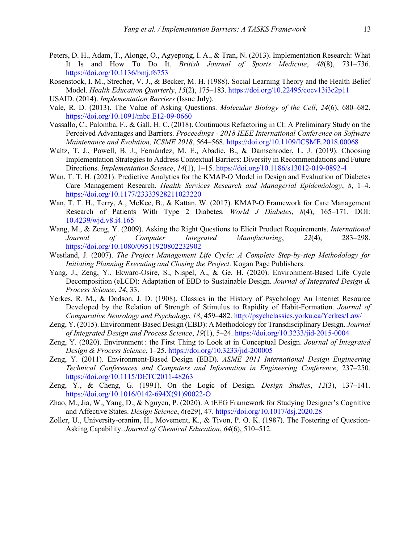- <span id="page-12-0"></span>Peters, D. H., Adam, T., Alonge, O., Agyepong, I. A., & Tran, N. (2013). Implementation Research: What It Is and How To Do It. *British Journal of Sports Medicine*, *48*(8), 731–736. https://doi.org/10.1136/bmj.f6753
- <span id="page-12-6"></span>Rosenstock, I. M., Strecher, V. J., & Becker, M. H. (1988). Social Learning Theory and the Health Belief Model. *Health Education Quarterly*, *15*(2), 175–183. https://doi.org/10.22495/cocv13i3c2p11
- <span id="page-12-5"></span>USAID. (2014). *Implementation Barriers* (Issue July).
- <span id="page-12-3"></span>Vale, R. D. (2013). The Value of Asking Questions. *Molecular Biology of the Cell*, *24*(6), 680–682. https://doi.org/10.1091/mbc.E12-09-0660
- Vassallo, C., Palomba, F., & Gall, H. C. (2018). Continuous Refactoring in CI: A Preliminary Study on the Perceived Advantages and Barriers. *Proceedings - 2018 IEEE International Conference on Software Maintenance and Evolution, ICSME 2018*, 564–568. https://doi.org/10.1109/ICSME.2018.00068
- Waltz, T. J., Powell, B. J., Fernández, M. E., Abadie, B., & Damschroder, L. J. (2019). Choosing Implementation Strategies to Address Contextual Barriers: Diversity in Recommendations and Future Directions. *Implementation Science*, *14*(1), 1–15. https://doi.org/10.1186/s13012-019-0892-4
- <span id="page-12-4"></span>Wan, T. T. H. (2021). Predictive Analytics for the KMAP-O Model in Design and Evaluation of Diabetes Care Management Research. *Health Services Research and Managerial Epidemiology*, *8*, 1–4. https://doi.org/10.1177/23333928211023220
- Wan, T. T. H., Terry, A., McKee, B., & Kattan, W. (2017). KMAP-O Framework for Care Management Research of Patients With Type 2 Diabetes. *World J Diabetes*, *8*(4), 165–171. DOI: [10.4239/wjd.v8.i4.165](https://dx.doi.org/10.4239/wjd.v8.i4.165)
- <span id="page-12-7"></span>Wang, M., & Zeng, Y. (2009). Asking the Right Questions to Elicit Product Requirements. *International Journal of Computer Integrated Manufacturing*, *22*(4), 283–298. https://doi.org/10.1080/09511920802232902
- <span id="page-12-9"></span>Westland, J. (2007). *The Project Management Life Cycle: A Complete Step-by-step Methodology for Initiating Planning Executing and Closing the Project*. Kogan Page Publishers.
- <span id="page-12-10"></span>Yang, J., Zeng, Y., Ekwaro-Osire, S., Nispel, A., & Ge, H. (2020). Environment-Based Life Cycle Decomposition (eLCD): Adaptation of EBD to Sustainable Design. *Journal of Integrated Design & Process Science*, *24*, 33.
- <span id="page-12-1"></span>Yerkes, R. M., & Dodson, J. D. (1908). Classics in the History of Psychology An Internet Resource Developed by the Relation of Strength of Stimulus to Rapidity of Habit-Formation. *Journal of Comparative Neurology and Psychology*, *18*, 459–482. http://psychclassics.yorku.ca/Yerkes/Law/
- <span id="page-12-8"></span>Zeng, Y. (2015). Environment-Based Design (EBD): A Methodology for Transdisciplinary Design. *Journal of Integrated Design and Process Science*, *19*(1), 5–24. https://doi.org/10.3233/jid-2015-0004
- Zeng, Y. (2020). Environment : the First Thing to Look at in Conceptual Design. *Journal of Integrated Design & Process Science*, 1–25. https://doi.org/10.3233/jid-200005
- Zeng, Y. (2011). Environment-Based Design (EBD). *ASME 2011 International Design Engineering Technical Conferences and Computers and Information in Engineering Conference*, 237–250. https://doi.org/10.1115/DETC2011-48263
- <span id="page-12-11"></span>Zeng, Y., & Cheng, G. (1991). On the Logic of Design. *Design Studies*, *12*(3), 137–141. https://doi.org/10.1016/0142-694X(91)90022-O
- Zhao, M., Jia, W., Yang, D., & Nguyen, P. (2020). A tEEG Framework for Studying Designer's Cognitive and Affective States. *Design Science*, *6*(e29), 47. https://doi.org/10.1017/dsj.2020.28
- <span id="page-12-2"></span>Zoller, U., University-oranim, H., Movement, K., & Tivon, P. O. K. (1987). The Fostering of Question-Asking Capability. *Journal of Chemical Education*, *64*(6), 510–512.